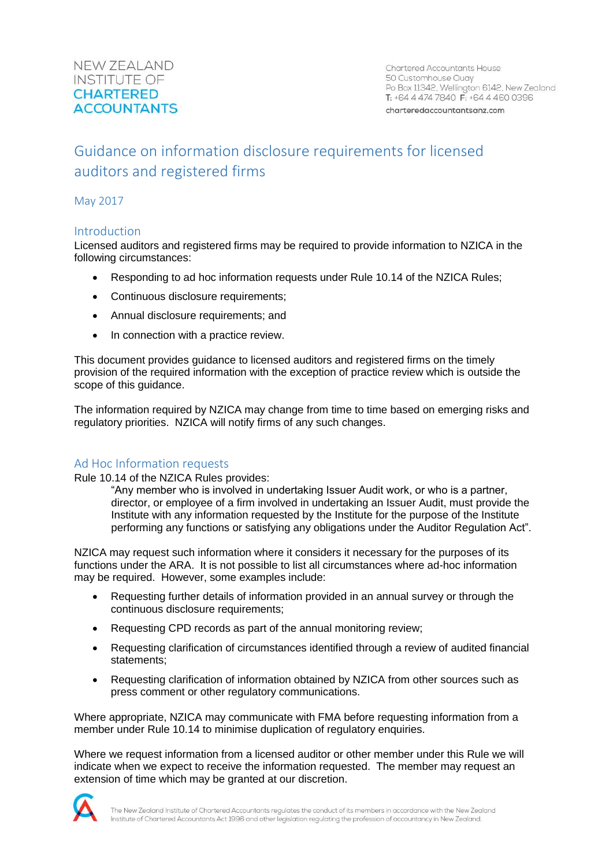Chartered Accountants House 50 Customhouse Quay Po Box 11342, Wellington 6142, New Zealand T: +64 4 474 7840 F: +64 4 460 0396

charteredaccountantsanz.com

# Guidance on information disclosure requirements for licensed auditors and registered firms

May 2017

# Introduction

Licensed auditors and registered firms may be required to provide information to NZICA in the following circumstances:

- Responding to ad hoc information requests under Rule 10.14 of the NZICA Rules;
- Continuous disclosure requirements;
- Annual disclosure requirements; and
- In connection with a practice review.

This document provides guidance to licensed auditors and registered firms on the timely provision of the required information with the exception of practice review which is outside the scope of this guidance.

The information required by NZICA may change from time to time based on emerging risks and regulatory priorities. NZICA will notify firms of any such changes.

# Ad Hoc Information requests

Rule 10.14 of the NZICA Rules provides:

"Any member who is involved in undertaking Issuer Audit work, or who is a partner, director, or employee of a firm involved in undertaking an Issuer Audit, must provide the Institute with any information requested by the Institute for the purpose of the Institute performing any functions or satisfying any obligations under the Auditor Regulation Act".

NZICA may request such information where it considers it necessary for the purposes of its functions under the ARA. It is not possible to list all circumstances where ad-hoc information may be required. However, some examples include:

- Requesting further details of information provided in an annual survey or through the continuous disclosure requirements;
- Requesting CPD records as part of the annual monitoring review;
- Requesting clarification of circumstances identified through a review of audited financial statements;
- Requesting clarification of information obtained by NZICA from other sources such as press comment or other regulatory communications.

Where appropriate, NZICA may communicate with FMA before requesting information from a member under Rule 10.14 to minimise duplication of regulatory enquiries.

Where we request information from a licensed auditor or other member under this Rule we will indicate when we expect to receive the information requested. The member may request an extension of time which may be granted at our discretion.

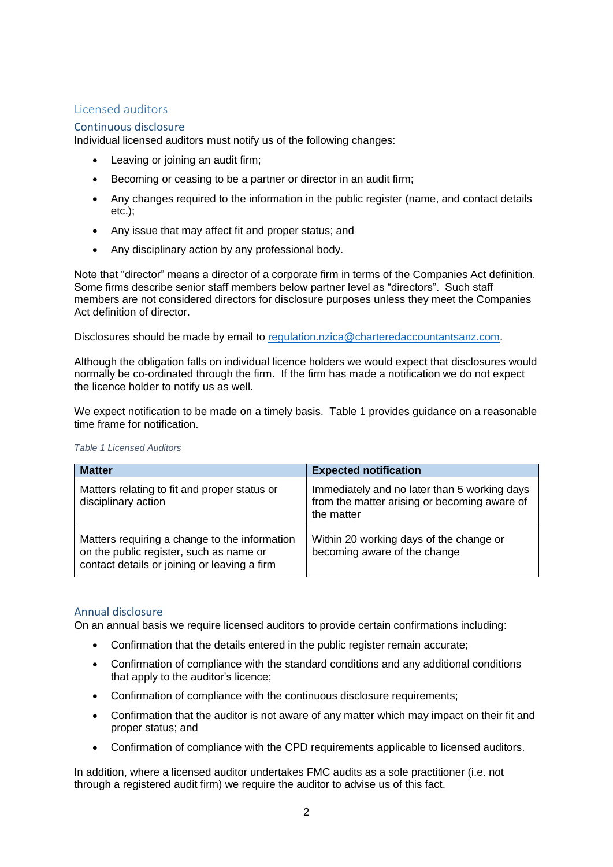# Licensed auditors

# Continuous disclosure

Individual licensed auditors must notify us of the following changes:

- Leaving or joining an audit firm;
- Becoming or ceasing to be a partner or director in an audit firm;
- Any changes required to the information in the public register (name, and contact details etc.);
- Any issue that may affect fit and proper status; and
- Any disciplinary action by any professional body.

Note that "director" means a director of a corporate firm in terms of the Companies Act definition. Some firms describe senior staff members below partner level as "directors". Such staff members are not considered directors for disclosure purposes unless they meet the Companies Act definition of director.

Disclosures should be made by email to [regulation.nzica@charteredaccountantsanz.com.](mailto:regulation.nzica@charteredaccountantsanz.com)

Although the obligation falls on individual licence holders we would expect that disclosures would normally be co-ordinated through the firm. If the firm has made a notification we do not expect the licence holder to notify us as well.

We expect notification to be made on a timely basis. Table 1 provides guidance on a reasonable time frame for notification.

| <b>Matter</b>                                                                                                                            | <b>Expected notification</b>                                                                               |
|------------------------------------------------------------------------------------------------------------------------------------------|------------------------------------------------------------------------------------------------------------|
| Matters relating to fit and proper status or<br>disciplinary action                                                                      | Immediately and no later than 5 working days<br>from the matter arising or becoming aware of<br>the matter |
| Matters requiring a change to the information<br>on the public register, such as name or<br>contact details or joining or leaving a firm | Within 20 working days of the change or<br>becoming aware of the change                                    |

*Table 1 Licensed Auditors*

### Annual disclosure

On an annual basis we require licensed auditors to provide certain confirmations including:

- Confirmation that the details entered in the public register remain accurate:
- Confirmation of compliance with the standard conditions and any additional conditions that apply to the auditor's licence;
- Confirmation of compliance with the continuous disclosure requirements;
- Confirmation that the auditor is not aware of any matter which may impact on their fit and proper status; and
- Confirmation of compliance with the CPD requirements applicable to licensed auditors.

In addition, where a licensed auditor undertakes FMC audits as a sole practitioner (i.e. not through a registered audit firm) we require the auditor to advise us of this fact.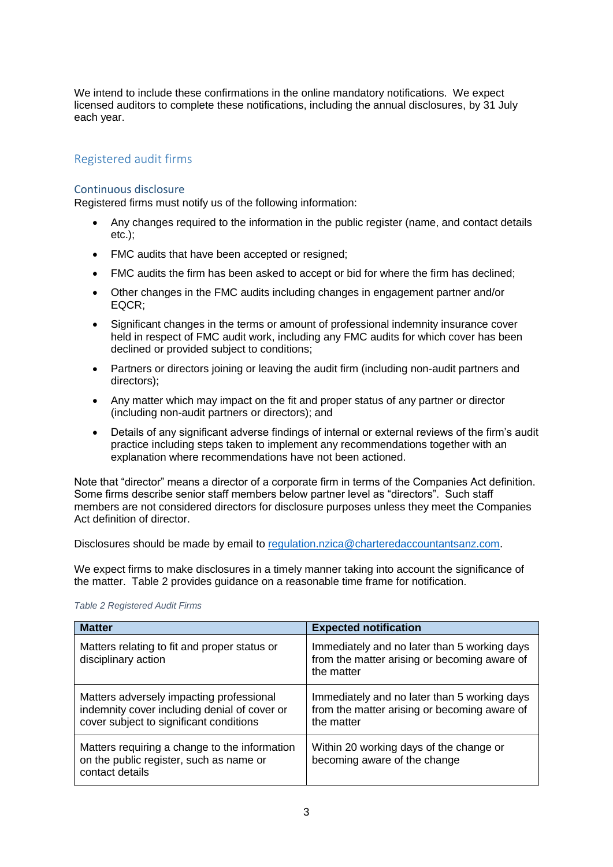We intend to include these confirmations in the online mandatory notifications. We expect licensed auditors to complete these notifications, including the annual disclosures, by 31 July each year.

# Registered audit firms

### Continuous disclosure

Registered firms must notify us of the following information:

- Any changes required to the information in the public register (name, and contact details etc.);
- FMC audits that have been accepted or resigned;
- FMC audits the firm has been asked to accept or bid for where the firm has declined;
- Other changes in the FMC audits including changes in engagement partner and/or EQCR;
- Significant changes in the terms or amount of professional indemnity insurance cover held in respect of FMC audit work, including any FMC audits for which cover has been declined or provided subject to conditions;
- Partners or directors joining or leaving the audit firm (including non-audit partners and directors);
- Any matter which may impact on the fit and proper status of any partner or director (including non-audit partners or directors); and
- Details of any significant adverse findings of internal or external reviews of the firm's audit practice including steps taken to implement any recommendations together with an explanation where recommendations have not been actioned.

Note that "director" means a director of a corporate firm in terms of the Companies Act definition. Some firms describe senior staff members below partner level as "directors". Such staff members are not considered directors for disclosure purposes unless they meet the Companies Act definition of director.

Disclosures should be made by email to [regulation.nzica@charteredaccountantsanz.com.](mailto:regulation.nzica@charteredaccountantsanz.com)

We expect firms to make disclosures in a timely manner taking into account the significance of the matter. Table 2 provides guidance on a reasonable time frame for notification.

| <b>Matter</b>                                                                                                                       | <b>Expected notification</b>                                                                               |
|-------------------------------------------------------------------------------------------------------------------------------------|------------------------------------------------------------------------------------------------------------|
| Matters relating to fit and proper status or<br>disciplinary action                                                                 | Immediately and no later than 5 working days<br>from the matter arising or becoming aware of<br>the matter |
| Matters adversely impacting professional<br>indemnity cover including denial of cover or<br>cover subject to significant conditions | Immediately and no later than 5 working days<br>from the matter arising or becoming aware of<br>the matter |
| Matters requiring a change to the information<br>on the public register, such as name or<br>contact details                         | Within 20 working days of the change or<br>becoming aware of the change                                    |

#### *Table 2 Registered Audit Firms*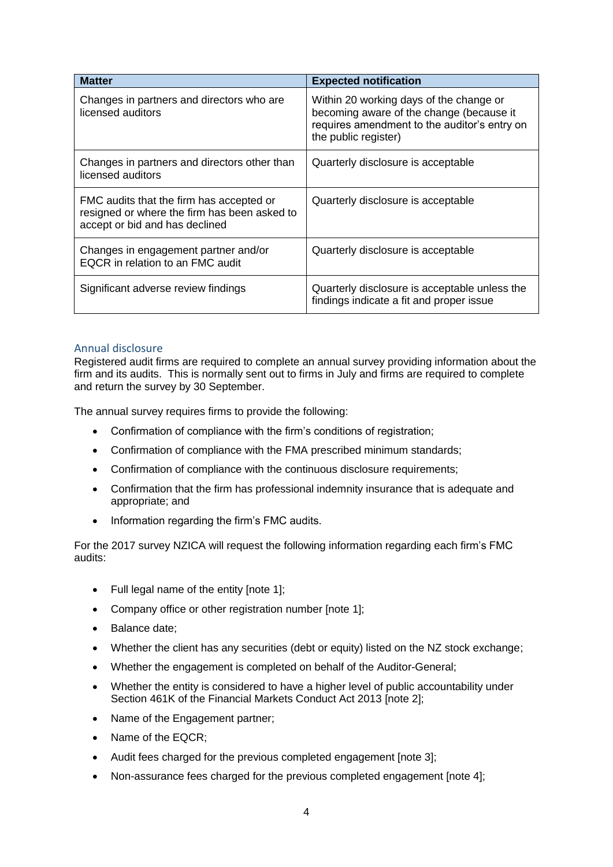| <b>Matter</b>                                                                                                              | <b>Expected notification</b>                                                                                                                                |
|----------------------------------------------------------------------------------------------------------------------------|-------------------------------------------------------------------------------------------------------------------------------------------------------------|
| Changes in partners and directors who are<br>licensed auditors                                                             | Within 20 working days of the change or<br>becoming aware of the change (because it<br>requires amendment to the auditor's entry on<br>the public register) |
| Changes in partners and directors other than<br>licensed auditors                                                          | Quarterly disclosure is acceptable                                                                                                                          |
| FMC audits that the firm has accepted or<br>resigned or where the firm has been asked to<br>accept or bid and has declined | Quarterly disclosure is acceptable                                                                                                                          |
| Changes in engagement partner and/or<br>EQCR in relation to an FMC audit                                                   | Quarterly disclosure is acceptable                                                                                                                          |
| Significant adverse review findings                                                                                        | Quarterly disclosure is acceptable unless the<br>findings indicate a fit and proper issue                                                                   |

### Annual disclosure

Registered audit firms are required to complete an annual survey providing information about the firm and its audits. This is normally sent out to firms in July and firms are required to complete and return the survey by 30 September.

The annual survey requires firms to provide the following:

- Confirmation of compliance with the firm's conditions of registration;
- Confirmation of compliance with the FMA prescribed minimum standards;
- Confirmation of compliance with the continuous disclosure requirements;
- Confirmation that the firm has professional indemnity insurance that is adequate and appropriate; and
- Information regarding the firm's FMC audits.

For the 2017 survey NZICA will request the following information regarding each firm's FMC audits:

- Full legal name of the entity [note 1];
- Company office or other registration number [note 1];
- Balance date;
- Whether the client has any securities (debt or equity) listed on the NZ stock exchange;
- Whether the engagement is completed on behalf of the Auditor-General;
- Whether the entity is considered to have a higher level of public accountability under Section 461K of the Financial Markets Conduct Act 2013 [note 2];
- Name of the Engagement partner;
- Name of the EQCR:
- Audit fees charged for the previous completed engagement [note 3];
- Non-assurance fees charged for the previous completed engagement [note 4];